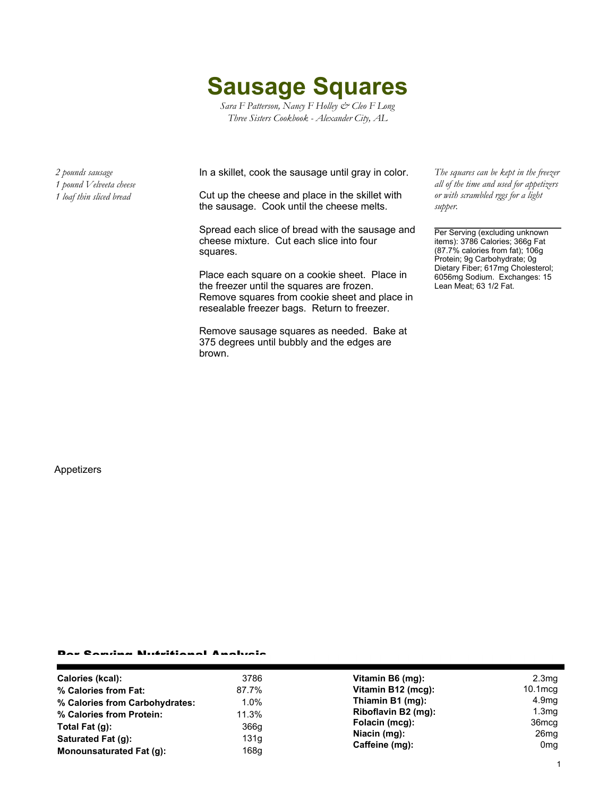**Sausage Squares**

*Sara F Patterson, Nancy F Holley & Cleo F Long Three Sisters Cookbook - Alexander City, AL*

*2 pounds sausage 1 pound Velveeta cheese*

*1 loaf thin sliced bread*

In a skillet, cook the sausage until gray in color.

Cut up the cheese and place in the skillet with the sausage. Cook until the cheese melts.

Spread each slice of bread with the sausage and cheese mixture. Cut each slice into four squares.

Place each square on a cookie sheet. Place in the freezer until the squares are frozen. Remove squares from cookie sheet and place in resealable freezer bags. Return to freezer.

Remove sausage squares as needed. Bake at 375 degrees until bubbly and the edges are brown.

*The squares can be kept in the freezer all of the time and used for appetizers or with scrambled rggs for a light supper.*

Per Serving (excluding unknown items): 3786 Calories; 366g Fat (87.7% calories from fat); 106g Protein; 9g Carbohydrate; 0g Dietary Fiber; 617mg Cholesterol; 6056mg Sodium. Exchanges: 15 Lean Meat; 63 1/2 Fat.

Appetizers

## Per Serving Nutritional Analysis

| Calories (kcal):               | 3786  | Vitamin B6 (mg):                                 | 2.3 <sub>mg</sub>                   |
|--------------------------------|-------|--------------------------------------------------|-------------------------------------|
| % Calories from Fat:           | 87.7% | Vitamin B12 (mcg):                               | $10.1 \text{mcg}$                   |
| % Calories from Carbohydrates: | 1.0%  | Thiamin B1 (mg):                                 | 4.9 <sub>mg</sub>                   |
| % Calories from Protein:       | 11.3% | Riboflavin B2 (mg):                              | 1.3 <sub>mg</sub>                   |
| Total Fat (g):                 | 366g  | Folacin (mcg):<br>Niacin (mg):<br>Caffeine (mg): | 36 <sub>mcg</sub>                   |
| Saturated Fat (q):             | 131g  |                                                  | 26 <sub>mg</sub><br>0 <sub>mg</sub> |
| Monounsaturated Fat (q):       | 168g  |                                                  |                                     |